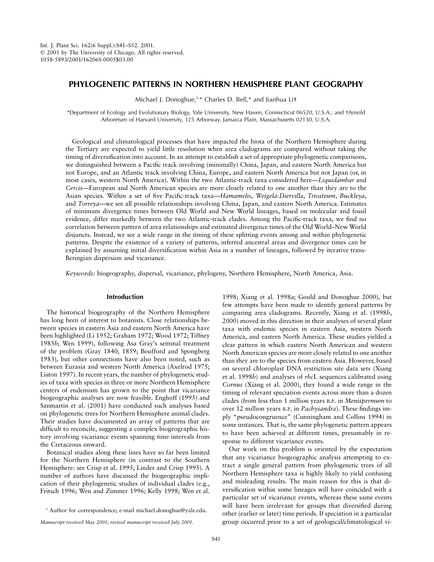# **PHYLOGENETIC PATTERNS IN NORTHERN HEMISPHERE PLANT GEOGRAPHY**

Michael J. Donoghue,<sup>1,\*</sup> Charles D. Bell,\* and Jianhua Lit

\*Department of Ecology and Evolutionary Biology, Yale University, New Haven, Connecticut 06520, U.S.A.; and †Arnold Arboretum of Harvard University, 125 Arborway, Jamaica Plain, Massachusetts 02130, U.S.A.

Geological and climatological processes that have impacted the biota of the Northern Hemisphere during the Tertiary are expected to yield little resolution when area cladograms are compared without taking the timing of diversification into account. In an attempt to establish a set of appropriate phylogenetic comparisons, we distinguished between a Pacific track involving (minimally) China, Japan, and eastern North America but not Europe, and an Atlantic track involving China, Europe, and eastern North America but not Japan (or, in most cases, western North America). Within the two Atlantic-track taxa considered here—*Liquidambar* and *Cercis*—European and North American species are more closely related to one another than they are to the Asian species. Within a set of five Pacific-track taxa—*Hamamelis*, *Weigela*-*Diervilla*, *Triosteum*, *Buckleya*, and *Torreya*—we see all possible relationships involving China, Japan, and eastern North America. Estimates of minimum divergence times between Old World and New World lineages, based on molecular and fossil evidence, differ markedly between the two Atlantic-track clades. Among the Pacific-track taxa, we find no correlation between pattern of area relationships and estimated divergence times of the Old World–New World disjuncts. Instead, we see a wide range in the timing of these splitting events among and within phylogenetic patterns. Despite the existence of a variety of patterns, inferred ancestral areas and divergence times can be explained by assuming initial diversification within Asia in a number of lineages, followed by iterative trans-Beringian dispersion and vicariance.

*Keywords:* biogeography, dispersal, vicariance, phylogeny, Northern Hemisphere, North America, Asia.

# **Introduction**

The historical biogeography of the Northern Hemisphere has long been of interest to botanists. Close relationships between species in eastern Asia and eastern North America have been highlighted (Li 1952; Graham 1972; Wood 1972; Tiffney 1985*b*; Wen 1999), following Asa Gray's seminal treatment of the problem (Gray 1840, 1859; Boufford and Spongberg 1983), but other connections have also been noted, such as between Eurasia and western North America (Axelrod 1975; Liston 1997). In recent years, the number of phylogenetic studies of taxa with species in three or more Northern Hemisphere centers of endemism has grown to the point that vicariance biogeographic analyses are now feasible. Enghoff (1995) and Sanmartin et al. (2001) have conducted such analyses based on phylogenetic trees for Northern Hemisphere animal clades. Their studies have documented an array of patterns that are difficult to reconcile, suggesting a complex biogeographic history involving vicariance events spanning time intervals from the Cretaceous onward.

Botanical studies along these lines have so far been limited for the Northern Hemisphere (in contrast to the Southern Hemisphere: see Crisp et al. 1995; Linder and Crisp 1995). A number of authors have discussed the biogeographic implication of their phylogenetic studies of individual clades (e.g., Fritsch 1996; Wen and Zimmer 1996; Kelly 1998; Wen et al.

*Manuscript received May 2001; revised manuscript received July 2001.*

1998; Xiang et al. 1998*a*; Gould and Donoghue 2000), but few attempts have been made to identify general patterns by comparing area cladograms. Recently, Xiang et al. (1998*b*, 2000) moved in this direction in their analyses of several plant taxa with endemic species in eastern Asia, western North America, and eastern North America. These studies yielded a clear pattern in which eastern North American and western North American species are more closely related to one another than they are to the species from eastern Asia. However, based on several chloroplast DNA restriction site data sets (Xiang et al. 1998*b*) and analyses of *rbc*L sequences calibrated using *Cornus* (Xiang et al. 2000), they found a wide range in the timing of relevant speciation events across more than a dozen clades (from less than 1 million years B.P. in *Menispermum* to over 12 million years B.P. in *Pachysandra*). These findings imply "pseudocongruence" (Cunningham and Collins 1994) in some instances. That is, the same phylogenetic pattern appears to have been achieved at different times, presumably in response to different vicariance events.

Our work on this problem is oriented by the expectation that any vicariance biogeographic analysis attempting to extract a single general pattern from phylogenetic trees of all Northern Hemisphere taxa is highly likely to yield confusing and misleading results. The main reason for this is that diversification within some lineages will have coincided with a particular set of vicariance events, whereas these same events will have been irrelevant for groups that diversified during other (earlier or later) time periods. If speciation in a particular group occurred prior to a set of geological/climatological vi-

<sup>&</sup>lt;sup>1</sup> Author for correspondence; e-mail michael.donoghue@yale.edu.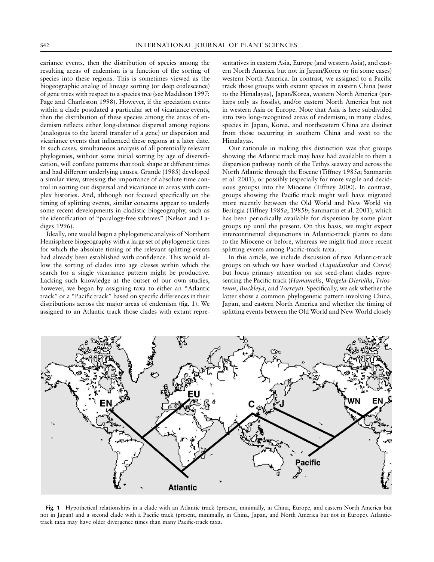cariance events, then the distribution of species among the resulting areas of endemism is a function of the sorting of species into these regions. This is sometimes viewed as the biogeographic analog of lineage sorting (or deep coalescence) of gene trees with respect to a species tree (see Maddison 1997; Page and Charleston 1998). However, if the speciation events within a clade postdated a particular set of vicariance events, then the distribution of these species among the areas of endemism reflects either long-distance dispersal among regions (analogous to the lateral transfer of a gene) or dispersion and vicariance events that influenced these regions at a later date. In such cases, simultaneous analysis of all potentially relevant phylogenies, without some initial sorting by age of diversification, will conflate patterns that took shape at different times and had different underlying causes. Grande (1985) developed a similar view, stressing the importance of absolute time control in sorting out dispersal and vicariance in areas with complex histories. And, although not focused specifically on the timing of splitting events, similar concerns appear to underly some recent developments in cladistic biogeography, such as the identification of "paralogy-free subtrees" (Nelson and Ladiges 1996).

Ideally, one would begin a phylogenetic analysis of Northern Hemisphere biogeography with a large set of phylogenetic trees for which the absolute timing of the relevant splitting events had already been established with confidence. This would allow the sorting of clades into age classes within which the search for a single vicariance pattern might be productive. Lacking such knowledge at the outset of our own studies, however, we began by assigning taxa to either an "Atlantic track" or a "Pacific track" based on specific differences in their distributions across the major areas of endemism (fig. 1). We assigned to an Atlantic track those clades with extant repre-

sentatives in eastern Asia, Europe (and western Asia), and eastern North America but not in Japan/Korea or (in some cases) western North America. In contrast, we assigned to a Pacific track those groups with extant species in eastern China (west to the Himalayas), Japan/Korea, western North America (perhaps only as fossils), and/or eastern North America but not in western Asia or Europe. Note that Asia is here subdivided into two long-recognized areas of endemism; in many clades, species in Japan, Korea, and northeastern China are distinct from those occurring in southern China and west to the Himalayas.

Our rationale in making this distinction was that groups showing the Atlantic track may have had available to them a dispersion pathway north of the Tethys seaway and across the North Atlantic through the Eocene (Tiffney 1985*a*; Sanmartin et al. 2001), or possibly (especially for more vagile and deciduous groups) into the Miocene (Tiffney 2000). In contrast, groups showing the Pacific track might well have migrated more recently between the Old World and New World via Beringia (Tiffney 1985*a*, 1985*b*; Sanmartin et al. 2001), which has been periodically available for dispersion by some plant groups up until the present. On this basis, we might expect intercontinental disjunctions in Atlantic-track plants to date to the Miocene or before, whereas we might find more recent splitting events among Pacific-track taxa.

In this article, we include discussion of two Atlantic-track groups on which we have worked (*Liquidambar* and *Cercis*) but focus primary attention on six seed-plant clades representing the Pacific track (*Hamamelis*, *Weigela*-*Diervilla*, *Triosteum*, *Buckleya*, and *Torreya*). Specifically, we ask whether the latter show a common phylogenetic pattern involving China, Japan, and eastern North America and whether the timing of splitting events between the Old World and New World closely



**Fig. 1** Hypothetical relationships in a clade with an Atlantic track (present, minimally, in China, Europe, and eastern North America but not in Japan) and a second clade with a Pacific track (present, minimally, in China, Japan, and North America but not in Europe). Atlantictrack taxa may have older divergence times than many Pacific-track taxa.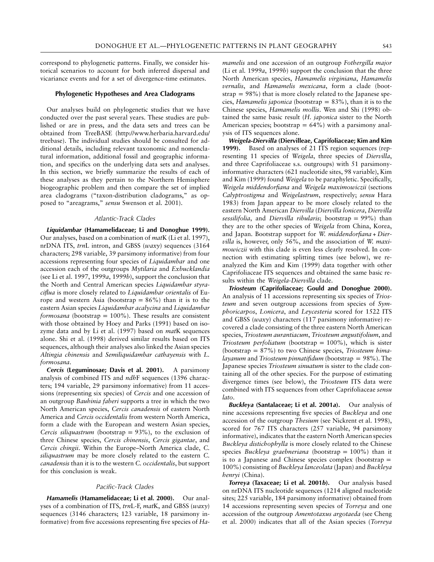correspond to phylogenetic patterns. Finally, we consider historical scenarios to account for both inferred dispersal and vicariance events and for a set of divergence-time estimates.

# **Phylogenetic Hypotheses and Area Cladograms**

Our analyses build on phylogenetic studies that we have conducted over the past several years. These studies are published or are in press, and the data sets and trees can be obtained from TreeBASE (http://www.herbaria.harvard.edu/ treebase). The individual studies should be consulted for additional details, including relevant taxonomic and nomenclatural information, additional fossil and geographic information, and specifics on the underlying data sets and analyses. In this section, we briefly summarize the results of each of these analyses as they pertain to the Northern Hemisphere biogeographic problem and then compare the set of implied area cladograms ("taxon-distribution cladograms," as opposed to "areagrams," *sensu* Swenson et al. 2001).

#### *Atlantic-Track Clades*

*Liquidambar* **(Hamamelidaceae; Li and Donoghue 1999).** Our analyses, based on a combination of *mat*K (Li et al. 1997), nrDNA ITS, *trn*L intron, and GBSS (*waxy*) sequences (3164 characters; 298 variable, 39 parsimony informative) from four accessions representing four species of *Liquidambar* and one accession each of the outgroups *Mytilaria* and *Exbucklandia* (see Li et al. 1997, 1999*a*, 1999*b*), support the conclusion that the North and Central American species *Liquidambar styraciflua* is more closely related to *Liquidambar orientalis* of Europe and western Asia (bootstrap =  $86\%$ ) than it is to the eastern Asian species *Liquidambar acalycina* and *Liquidambar formosana* (bootstrap =  $100\%$ ). These results are consistent with those obtained by Hoey and Parks (1991) based on isozyme data and by Li et al. (1997) based on *mat*K sequences alone. Shi et al. (1998) derived similar results based on ITS sequences, although their analyses also linked the Asian species *Altingia chinensis* and *Semiliquidambar cathayensis* with *L. formosana*.

*Cercis* **(Leguminosae; Davis et al. 2001).** A parsimony analysis of combined ITS and *ndh*F sequences (1396 characters; 194 variable, 29 parsimony informative) from 11 accessions (representing six species) of *Cercis* and one accession of an outgroup *Bauhinia faberi* supports a tree in which the two North American species, *Cercis canadensis* of eastern North America and *Cercis occidentalis* from western North America, form a clade with the European and western Asian species, *Cercis siliquastrum* (bootstrap =  $93\%$ ), to the exclusion of three Chinese species, *Cercis chinensis*, *Cercis gigantae*, and *Cercis chingii*. Within the Europe–North America clade, *C. siliquastrum* may be more closely related to the eastern *C. canadensis* than it is to the western *C. occidentalis*, but support for this conclusion is weak.

#### *Pacific-Track Clades*

*Hamamelis* **(Hamamelidaceae; Li et al. 2000).** Our analyses of a combination of ITS, *trn*L-F, *mat*K, and GBSS (*waxy*) sequences (3146 characters; 123 variable, 18 parsimony informative) from five accessions representing five species of *Ha-*

*mamelis* and one accession of an outgroup *Fothergilla major* (Li et al. 1999*a*, 1999*b*) support the conclusion that the three North American species, *Hamamelis virginiana*, *Hamamelis vernalis*, and *Hamamelis mexicana*, form a clade (bootstrap  $= 98\%$ ) that is more closely related to the Japanese species, *Hamamelis japonica* (bootstrap =  $83\%$ ), than it is to the Chinese species, *Hamamelis mollis*. Wen and Shi (1998) obtained the same basic result (*H. japonica* sister to the North American species; bootstrap =  $64\%$ ) with a parsimony analysis of ITS sequences alone.

*Weigela***-***Diervilla* **(Diervilleae, Caprifoliaceae; Kim and Kim 1999).** Based on analyses of 21 ITS region sequences (representing 11 species of *Weigela*, three species of *Diervilla*, and three Caprifoliaceae s.s. outgroups) with 51 parsimonyinformative characters (621 nucleotide sites, 98 variable), Kim and Kim (1999) found *Weigela* to be paraphyletic. Specifically, *Weigela middendorfiana* and *Weigela maximowiczii* (sections *Calyptrostigma* and *Weigelastrum*, respectively; *sensu* Hara 1983) from Japan appear to be more closely related to the eastern North American *Diervilla* (*Diervilla lonicera*, *Diervilla sessilifolia*, and *Diervilla ribularis*; bootstrap = 99%) than they are to the other species of *Weigela* from China, Korea, and Japan. Bootstrap support for *W. middendorfiana* + *Diervilla* is, however, only 56%, and the association of *W. maximowiczii* with this clade is even less clearly resolved. In connection with estimating splitting times (see below), we reanalyzed the Kim and Kim (1999) data together with other Caprifoliaceae ITS sequences and obtained the same basic results within the *Weigela*-*Diervilla* clade.

*Triosteum* **(Caprifoliaceae; Gould and Donoghue 2000).** An analysis of 11 accessions representing six species of *Triosteum* and seven outgroup accessions from species of *Symphoricarpos*, *Lonicera*, and *Leycesteria* scored for 1522 ITS and GBSS (*waxy*) characters (117 parsimony informative) recovered a clade consisting of the three eastern North American species, *Triosteum aurantiacum*, *Triosteum angustifolium*, and *Triosteum perfoliatum* (bootstrap  $= 100\%$ ), which is sister (bootstrap = 87%) to two Chinese species, *Triosteum himalayanum* and *Triosteum pinnatifidum* (bootstrap = 98%). The Japanese species *Triosteum sinuatum* is sister to the clade containing all of the other species. For the purpose of estimating divergence times (see below), the *Triosteum* ITS data were combined with ITS sequences from other Caprifoliaceae *sensu lato*.

*Buckleya* **(Santalaceae; Li et al. 2001***a***).** Our analysis of nine accessions representing five species of *Buckleya* and one accession of the outgroup *Thesium* (see Nickrent et al. 1998), scored for 767 ITS characters (257 variable, 94 parsimony informative), indicates that the eastern North American species *Buckleya distichophylla* is more closely related to the Chinese species *Buckleya graebneriana* (bootstrap =  $100\%$ ) than it is to a Japanese and Chinese species complex (bootstrap  $=$ 100%) consisting of *Buckleya lanceolata* (Japan) and *Buckleya henryi* (China).

*Torreya* **(Taxaceae; Li et al. 2001***b***).** Our analysis based on nrDNA ITS nucleotide sequences (1214 aligned nucleotide sites; 225 variable, 184 parsimony informative) obtained from 14 accessions representing seven species of *Torreya* and one accession of the outgroup *Amentotaxus argotaeda* (see Cheng et al. 2000) indicates that all of the Asian species (*Torreya*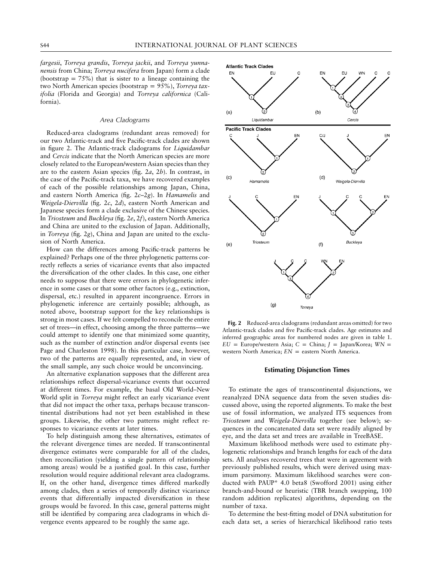*fargesii*, *Torreya grandis*, *Torreya jackii*, and *Torreya yunnanensis* from China; *Torreya nucifera* from Japan) form a clade (bootstrap =  $75\%$ ) that is sister to a lineage containing the two North American species (bootstrap = 95%), Torreya tax*ifolia* (Florida and Georgia) and *Torreya californica* (California).

#### *Area Cladograms*

Reduced-area cladograms (redundant areas removed) for our two Atlantic-track and five Pacific-track clades are shown in figure 2. The Atlantic-track cladograms for *Liquidambar* and *Cercis* indicate that the North American species are more closely related to the European/western Asian species than they are to the eastern Asian species (fig. 2*a*, 2*b*). In contrast, in the case of the Pacific-track taxa, we have recovered examples of each of the possible relationships among Japan, China, and eastern North America (fig. 2*c*–2*g*). In *Hamamelis* and *Weigela-Diervilla* (fig. 2*c*, 2*d*), eastern North American and Japanese species form a clade exclusive of the Chinese species. In *Triosteum* and *Buckleya* (fig. 2*e*, 2*f*), eastern North America and China are united to the exclusion of Japan. Additionally, in *Torreya* (fig. 2*g*), China and Japan are united to the exclusion of North America.

How can the differences among Pacific-track patterns be explained? Perhaps one of the three phylogenetic patterns correctly reflects a series of vicariance events that also impacted the diversification of the other clades. In this case, one either needs to suppose that there were errors in phylogenetic inference in some cases or that some other factors (e.g., extinction, dispersal, etc.) resulted in apparent incongruence. Errors in phylogenetic inference are certainly possible; although, as noted above, bootstrap support for the key relationships is strong in most cases. If we felt compelled to reconcile the entire set of trees—in effect, choosing among the three patterns—we could attempt to identify one that minimized some quantity, such as the number of extinction and/or dispersal events (see Page and Charleston 1998). In this particular case, however, two of the patterns are equally represented, and, in view of the small sample, any such choice would be unconvincing.

An alternative explanation supposes that the different area relationships reflect dispersal-vicariance events that occurred at different times. For example, the basal Old World–New World split in *Torreya* might reflect an early vicariance event that did not impact the other taxa, perhaps because transcontinental distributions had not yet been established in these groups. Likewise, the other two patterns might reflect responses to vicariance events at later times.

To help distinguish among these alternatives, estimates of the relevant divergence times are needed. If transcontinental divergence estimates were comparable for all of the clades, then reconciliation (yielding a single pattern of relationship among areas) would be a justified goal. In this case, further resolution would require additional relevant area cladograms. If, on the other hand, divergence times differed markedly among clades, then a series of temporally distinct vicariance events that differentially impacted diversification in these groups would be favored. In this case, general patterns might still be identified by comparing area cladograms in which divergence events appeared to be roughly the same age.



**Fig. 2** Reduced-area cladograms (redundant areas omitted) for two Atlantic-track clades and five Pacific-track clades. Age estimates and inferred geographic areas for numbered nodes are given in table 1.  $EU = Europe/western Asia$ ;  $C = China$ ;  $J = Japan/Korea$ ; *WN* = western North America;  $EN =$  eastern North America.

## **Estimating Disjunction Times**

To estimate the ages of transcontinental disjunctions, we reanalyzed DNA sequence data from the seven studies discussed above, using the reported alignments. To make the best use of fossil information, we analyzed ITS sequences from *Triosteum* and *Weigela*-*Diervilla* together (see below); sequences in the concatenated data set were readily aligned by eye, and the data set and trees are available in TreeBASE.

Maximum likelihood methods were used to estimate phylogenetic relationships and branch lengths for each of the data sets. All analyses recovered trees that were in agreement with previously published results, which were derived using maximum parsimony. Maximum likelihood searches were conducted with PAUP\* 4.0 beta8 (Swofford 2001) using either branch-and-bound or heuristic (TBR branch swapping, 100 random addition replicates) algorithms, depending on the number of taxa.

To determine the best-fitting model of DNA substitution for each data set, a series of hierarchical likelihood ratio tests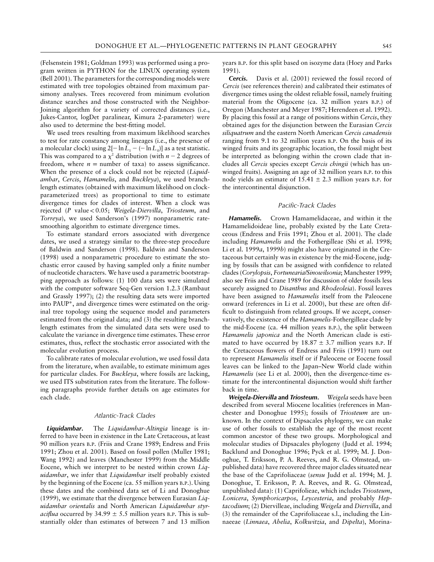(Felsenstein 1981; Goldman 1993) was performed using a program written in PYTHON for the LINUX operating system (Bell 2001). The parameters for the corresponding models were estimated with tree topologies obtained from maximum parsimony analyses. Trees recovered from minimum evolution distance searches and those constructed with the Neighbor-Joining algorithm for a variety of corrected distances (i.e., Jukes-Cantor, logDet paralinear, Kimura 2-parameter) were also used to determine the best-fitting model.

We used trees resulting from maximum likelihood searches to test for rate constancy among lineages (i.e., the presence of a molecular clock) using  $2[-\ln L_1 - (-\ln L_0)]$  as a test statistic. This was compared to a  $\chi^2$  distribution (with  $n-2$  degrees of freedom, where  $n =$  number of taxa) to assess significance. When the presence of a clock could not be rejected (*Liquidambar*, *Cercis*, *Hamamelis*, and *Buckleya*), we used branchlength estimates (obtained with maximum likelihood on clockparameterized trees) as proportional to time to estimate divergence times for clades of interest. When a clock was rejected (*P* value ! 0.05; *Weigela*-*Diervilla*, *Triosteum*, and *Torreya*), we used Sanderson's (1997) nonparametric ratesmoothing algorithm to estimate divergence times.

To estimate standard errors associated with divergence dates, we used a strategy similar to the three-step procedure of Baldwin and Sanderson (1998). Baldwin and Sanderson (1998) used a nonparametric procedure to estimate the stochastic error caused by having sampled only a finite number of nucleotide characters. We have used a parametric bootstrapping approach as follows: (1) 100 data sets were simulated with the computer software Seq-Gen version 1.2.3 (Rambaut and Grassly 1997); (2) the resulting data sets were imported into PAUP\*, and divergence times were estimated on the original tree topology using the sequence model and parameters estimated from the original data; and (3) the resulting branchlength estimates from the simulated data sets were used to calculate the variance in divergence time estimates. These error estimates, thus, reflect the stochastic error associated with the molecular evolution process.

To calibrate rates of molecular evolution, we used fossil data from the literature, when available, to estimate minimum ages for particular clades. For *Buckleya*, where fossils are lacking, we used ITS substitution rates from the literature. The following paragraphs provide further details on age estimates for each clade.

#### *Atlantic-Track Clades*

*Liquidambar***.** The *Liquidambar*-*Altingia* lineage is inferred to have been in existence in the Late Cretaceous, at least 90 million years B.P. (Friis and Crane 1989; Endress and Friis 1991; Zhou et al. 2001). Based on fossil pollen (Muller 1981; Wang 1992) and leaves (Manchester 1999) from the Middle Eocene, which we interpret to be nested within crown *Liquidambar*, we infer that *Liquidambar* itself probably existed by the beginning of the Eocene (ca. 55 million years B.P.). Using these dates and the combined data set of Li and Donoghue (1999), we estimate that the divergence between Eurasian *Liquidambar orientalis* and North American *Liquidambar styraciflua* occurred by  $34.99 \pm 5.5$  million years B.P. This is substantially older than estimates of between 7 and 13 million years B.P. for this split based on isozyme data (Hoey and Parks 1991).

*Cercis***.** Davis et al. (2001) reviewed the fossil record of *Cercis* (see references therein) and calibrated their estimates of divergence times using the oldest reliable fossil, namely fruiting material from the Oligocene (ca. 32 million years B.P.) of Oregon (Manchester and Meyer 1987; Herendeen et al. 1992). By placing this fossil at a range of positions within *Cercis*, they obtained ages for the disjunction between the Eurasian *Cercis siliquatrum* and the eastern North American *Cercis canadensis* ranging from 9.1 to 32 million years B.P. On the basis of its winged fruits and its geographic location, the fossil might best be interpreted as belonging within the crown clade that includes all *Cercis* species except *Cercis chingii* (which has unwinged fruits). Assigning an age of 32 million years B.P. to this node yields an estimate of  $15.41 \pm 2.3$  million years B.P. for the intercontinental disjunction.

# *Pacific-Track Clades*

*Hamamelis***.** Crown Hamamelidaceae, and within it the Hamamelidoideae line, probably existed by the Late Cretaceous (Endress and Friis 1991; Zhou et al. 2001). The clade including *Hamamelis* and the Fothergilleae (Shi et al. 1998; Li et al. 1999*a*, 1999*b*) might also have originated in the Cretaceous but certainly was in existence by the mid-Eocene, judging by fossils that can be assigned with confidence to related clades (*Corylopsis*, *Fortunearia/Sinowilsonia*; Manchester 1999; also see Friis and Crane 1989 for discussion of older fossils less securely assigned to *Disanthus* and *Rhodeoleia*). Fossil leaves have been assigned to *Hamamelis* itself from the Paleocene onward (references in Li et al. 2000), but these are often difficult to distinguish from related groups. If we accept, conservatively, the existence of the *Hamamelis*-Fothergilleae clade by the mid-Eocene (ca. 44 million years B.P.), the split between *Hamamelis japonica* and the North American clade is estimated to have occurred by  $18.87 \pm 3.7$  million years B.P. If the Cretaceous flowers of Endress and Friis (1991) turn out to represent *Hamamelis* itself or if Paleocene or Eocene fossil leaves can be linked to the Japan–New World clade within *Hamamelis* (see Li et al. 2000), then the divergence-time estimate for the intercontinental disjunction would shift farther back in time.

*Weigela***-***Diervilla* **and** *Triosteum***.** *Weigela* seeds have been described from several Miocene localities (references in Manchester and Donoghue 1995); fossils of *Triosteum* are unknown. In the context of Dipsacales phylogeny, we can make use of other fossils to establish the age of the most recent common ancestor of these two groups. Morphological and molecular studies of Dipsacales phylogeny (Judd et al. 1994; Backlund and Donoghue 1996; Pyck et al. 1999; M. J. Donoghue, T. Eriksson, P. A. Reeves, and R. G. Olmstead, unpublished data) have recovered three major clades situated near the base of the Caprifoliaceae (*sensu* Judd et al. 1994; M. J. Donoghue, T. Eriksson, P. A. Reeves, and R. G. Olmstead, unpublished data): (1) Caprifolieae, which includes *Triosteum*, *Lonicera*, *Symphoricarpos*, *Leycesteria*, and probably *Heptacodium*; (2) Diervilleae, including *Weigela* and *Diervilla*, and (3) the remainder of the Caprifoliaceae s.l., including the Linnaeeae (*Linnaea*, *Abelia*, *Kolkwitzia*, and *Dipelta*), Morina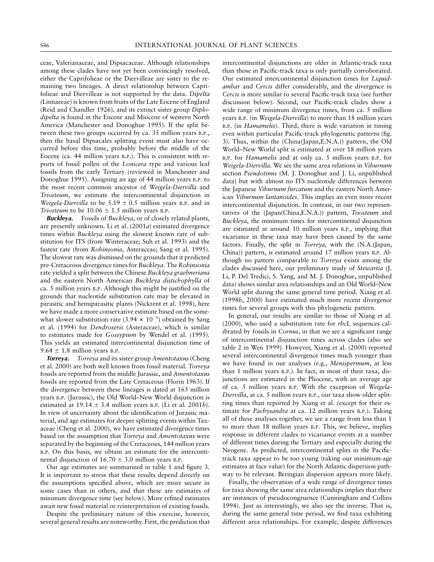ceae, Valerianaceae, and Dipsacaceae. Although relationships among these clades have not yet been convincingly resolved, either the Caprifolieae or the Diervilleae are sister to the remaining two lineages. A direct relationship between Caprifolieae and Diervilleae is not supported by the data. *Dipelta* (Linnaeeae) is known from fruits of the Late Eocene of England (Reid and Chandler 1926), and its extinct sister group *Diplodipelta* is found in the Eocene and Miocene of western North America (Manchester and Donoghue 1995). If the split between these two groups occurred by ca. 35 million years B.P., then the basal Dipsacales splitting event must also have occurred before this time, probably before the middle of the Eocene (ca. 44 million years B.P.). This is consistent with reports of fossil pollen of the *Lonicera* type and various leaf fossils from the early Tertiary (reviewed in Manchester and Donoghue 1995). Assigning an age of 44 million years B.P. to the most recent common ancestor of *Weigela-Diervilla* and *Triosteum*, we estimate the intercontinental disjunction in *Weigela-Diervilla* to be  $5.19 \pm 0.5$  million years B.P. and in *Triosteum* to be  $10.06 \pm 1.5$  million years B.P.

*Buckleya***.** Fossils of *Buckleya*, or of closely related plants, are presently unknown. Li et al. (2001*a*) estimated divergence times within *Buckleya* using the slowest known rate of substitution for ITS (from Winteraceae; Suh et al. 1993) and the fastest rate (from *Robinsonia*, Asteraceae; Sang et al. 1995). The slowest rate was dismissed on the grounds that it predicted pre-Cretaceous divergence times for *Buckleya*. The *Robinsonia* rate yielded a split between the Chinese *Buckleya graebneriana* and the eastern North American *Buckleya distichophylla* of ca. 5 million years B.P. Although this might be justified on the grounds that nucleotide substitution rate may be elevated in parasitic and hemiparasitic plants (Nickrent et al. 1998), here we have made a more conservative estimate based on the somewhat slower substitution rate (3.94  $\times$  10<sup>-9</sup>) obtained by Sang et al. (1994) for *Dendroseris* (Asteraceae), which is similar to estimates made for *Gossypium* by Wendel et al. (1995). This yields an estimated intercontinental disjunction time of  $9.64 \pm 1.8$  million years B.P.

*Torreya***.** *Torreya* and its sister group *Amentotaxus*(Cheng et al. 2000) are both well known from fossil material. *Torreya* fossils are reported from the middle Jurassic, and *Amentotaxus* fossils are reported from the Late Cretaceous (Florin 1963). If the divergence between these lineages is dated at 165 million years B.P. (Jurassic), the Old World–New World disjunction is estimated at  $19.14 \pm 3.4$  million years B.P. (Li et al. 2001*b*). In view of uncertainty about the identification of Jurassic material, and age estimates for deeper splitting events within Taxaceae (Cheng et al. 2000), we have estimated divergence times based on the assumption that *Torreya* and *Amentotaxus* were separated by the beginning of the Cretaceous, 144 million years B.P. On this basis, we obtain an estimate for the intercontinental disjunction of  $16.70 \pm 3.0$  million years B.P.

Our age estimates are summarized in table 1 and figure 3. It is important to stress that these results depend directly on the assumptions specified above, which are more secure in some cases than in others, and that these are estimates of minimum divergence time (see below). More refined estimates await new fossil material or reinterpretation of existing fossils.

Despite the preliminary nature of this exercise, however, several general results are noteworthy. First, the prediction that

intercontinental disjunctions are older in Atlantic-track taxa than those in Pacific-track taxa is only partially corroborated. Our estimated intercontinental disjunction times for *Liquidambar* and *Cercis* differ considerably, and the divergence in *Cercis* is more similar to several Pacific-track taxa (see further discussion below). Second, our Pacific-track clades show a wide range of minimum divergence times, from ca. 5 million years B.P. (in *Weigela-Diervilla*) to more than 18 million years B.P. (in *Hamamelis*). Third, there is wide variation in timing even within particular Pacific-track phylogenetic patterns (fig. 3). Thus, within the (China(Japan,E.N.A.)) pattern, the Old World–New World split is estimated at over 18 million years B.P. for *Hamamelis* and at only ca. 5 million years B.P. for *Weigela*-*Diervilla*. We see the same area relations in *Viburnum* section *Pseudotinus* (M. J. Donoghue and J. Li, unpublished data) but with almost no ITS nucleotide differences between the Japanese *Viburnum furcatum* and the eastern North American *Viburnum lantanoides*. This implies an even more recent intercontinental disjunction. In contrast, in our two representatives of the (Japan(China,E.N.A.)) pattern, *Triosteum* and *Buckleya*, the minimum times for intercontinental disjunction are estimated at around 10 million years B.P., implying that vicariance in these taxa may have been caused by the same factors. Finally, the split in *Torreya*, with the (N.A.(Japan, China)) pattern, is estimated around 17 million years B.P. Although no pattern comparable to *Torreya* exists among the clades discussed here, our preliminary study of *Stewartia* (J. Li, P. Del Tredici, S. Yang, and M. J. Donoghue, unpublished data) shows similar area relationships and an Old World–New World split during the same general time period. Xiang et al. (1998*b*, 2000) have estimated much more recent divergence times for several groups with this phylogenetic pattern.

In general, our results are similar to those of Xiang et al. (2000), who used a substitution rate for *rbc*L sequences calibrated by fossils in *Cornus*, in that we see a significant range of intercontinental disjunction times across clades (also see table 2 in Wen 1999). However, Xiang et al. (2000) reported several intercontinental divergence times much younger than we have found in our analyses (e.g., *Menispermum*, at less than 1 million years B.P.). In fact, in most of their taxa, disjunctions are estimated in the Pliocene, with an average age of ca. 5 million years B.P. With the exception of *Weigela-Diervilla*, at ca. 5 million years B.P., our taxa show older splitting times than reported by Xiang et al. (except for their estimate for *Pachysandra* at ca. 12 million years B.P.). Taking all of these analyses together, we see a range from less than 1 to more than 18 million years B.P. This, we believe, implies response in different clades to vicariance events at a number of different times during the Tertiary and especially during the Neogene. As predicted, intercontinental splits in the Pacifictrack taxa appear to be too young (taking our minimum-age estimates at face value) for the North Atlantic dispersion pathway to be relevant. Beringian dispersion appears more likely.

Finally, the observation of a wide range of divergence times for taxa showing the same area relationships implies that there are instances of pseudocongruence (Cunningham and Collins 1994). Just as interestingly, we also see the inverse. That is, during the same general time period, we find taxa exhibiting different area relationships. For example, despite differences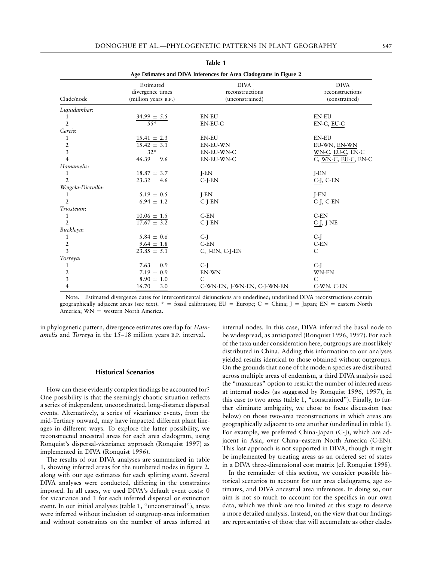| Age Estimates and DIVA Inferences for Area Cladograms in Figure 2 |                                                       |                                                   |                                                 |
|-------------------------------------------------------------------|-------------------------------------------------------|---------------------------------------------------|-------------------------------------------------|
| Clade/node                                                        | Estimated<br>divergence times<br>(million years B.P.) | <b>DIVA</b><br>reconstructions<br>(unconstrained) | <b>DIVA</b><br>reconstructions<br>(constrained) |
| Liquidambar:                                                      |                                                       |                                                   |                                                 |
| 1                                                                 |                                                       | <b>EN-EU</b>                                      | <b>EN-EU</b>                                    |
| $\overline{2}$                                                    | $\frac{34.99 \pm 5.5}{55^{*}}$                        | EN-EU-C                                           | EN-C, EU-C                                      |
| Cercis:                                                           |                                                       |                                                   |                                                 |
| 1                                                                 | $15.41 \pm 2.3$                                       | <b>EN-EU</b>                                      | <b>EN-EU</b>                                    |
| $\overline{2}$                                                    | $15.42 \pm 3.1$                                       | <b>EN-EU-WN</b>                                   | EU-WN, EN-WN                                    |
| $\overline{3}$                                                    | $32*$                                                 | EN-EU-WN-C                                        | WN-C, EU-C, EN-C                                |
| $\overline{4}$                                                    | $46.39 \pm 9.6$                                       | EN-EU-WN-C                                        | C, WN-C, EU-C, EN-C                             |
| Hamamelis:                                                        |                                                       |                                                   |                                                 |
| 1                                                                 | $18.87 \pm 3.7$                                       | $I-EN$                                            | $I-EN$                                          |
| $\overline{2}$                                                    | $23.32 \pm 4.6$                                       | $C-I-EN$                                          | $C-I$ , $C-EN$                                  |
| Weigela-Diervilla:                                                |                                                       |                                                   |                                                 |
| 1                                                                 |                                                       | $I-EN$                                            | $I-EN$                                          |
| $\overline{2}$                                                    | $\frac{5.19 \pm 0.5}{6.94 \pm 1.2}$                   | $C-I-EN$                                          | C-J, C-EN                                       |
| Triosteum:                                                        |                                                       |                                                   |                                                 |
| 1                                                                 | $10.06 \pm 1.5$                                       | $C$ -EN                                           | $C$ -EN                                         |
| 2                                                                 | $17.67 \pm 3.2$                                       | $C-J-EN$                                          | C-J, J-NE                                       |
| Buckleya:                                                         |                                                       |                                                   |                                                 |
| 1                                                                 | $5.84 \pm 0.6$                                        | $C-I$                                             | $C-I$                                           |
| $\overline{2}$                                                    | $9.64 \pm 1.8$                                        | $C$ -EN                                           | $C$ -EN                                         |
| $\overline{3}$                                                    | $23.85 \pm 5.1$                                       | C, J-EN, C-J-EN                                   | C                                               |
| Torreya:                                                          |                                                       |                                                   |                                                 |
| 1                                                                 | 7.63 $\pm$ 0.9                                        | C-J                                               | C-J                                             |
| $\overline{2}$                                                    | 7.19 $\pm$ 0.9                                        | EN-WN                                             | <b>WN-EN</b>                                    |
| $\mathfrak{Z}$                                                    | $8.90 \pm 1.0$                                        | $\mathsf{C}$                                      | $\mathsf{C}$                                    |
| $\overline{4}$                                                    | $16.70 \pm 3.0$                                       | C-WN-EN, J-WN-EN, C-J-WN-EN                       | C-WN, C-EN                                      |

**Table 1**

Note. Estimated divergence dates for intercontinental disjunctions are underlined; underlined DIVA reconstructions contain geographically adjacent areas (see text).  $* =$  fossil calibration; EU = Europe; C = China; J = Japan; EN = eastern North America;  $WN = western North America$ .

in phylogenetic pattern, divergence estimates overlap for *Hamamelis* and *Torreya* in the 15–18 million years B.P. interval.

#### **Historical Scenarios**

How can these evidently complex findings be accounted for? One possibility is that the seemingly chaotic situation reflects a series of independent, uncoordinated, long-distance dispersal events. Alternatively, a series of vicariance events, from the mid-Tertiary onward, may have impacted different plant lineages in different ways. To explore the latter possibility, we reconstructed ancestral areas for each area cladogram, using Ronquist's dispersal-vicariance approach (Ronquist 1997) as implemented in DIVA (Ronquist 1996).

The results of our DIVA analyses are summarized in table 1, showing inferred areas for the numbered nodes in figure 2, along with our age estimates for each splitting event. Several DIVA analyses were conducted, differing in the constraints imposed. In all cases, we used DIVA's default event costs: 0 for vicariance and 1 for each inferred dispersal or extinction event. In our initial analyses (table 1, "unconstrained"), areas were inferred without inclusion of outgroup-area information and without constraints on the number of areas inferred at

internal nodes. In this case, DIVA inferred the basal node to be widespread, as anticipated (Ronquist 1996, 1997). For each of the taxa under consideration here, outgroups are most likely distributed in China. Adding this information to our analyses yielded results identical to those obtained without outgroups. On the grounds that none of the modern species are distributed across multiple areas of endemism, a third DIVA analysis used the "maxareas" option to restrict the number of inferred areas at internal nodes (as suggested by Ronquist 1996, 1997), in this case to two areas (table 1, "constrained"). Finally, to further eliminate ambiguity, we chose to focus discussion (see below) on those two-area reconstructions in which areas are geographically adjacent to one another (underlined in table 1). For example, we preferred China-Japan (C-J), which are adjacent in Asia, over China–eastern North America (C-EN). This last approach is not supported in DIVA, though it might be implemented by treating areas as an ordered set of states in a DIVA three-dimensional cost matrix (cf. Ronquist 1998).

In the remainder of this section, we consider possible historical scenarios to account for our area cladograms, age estimates, and DIVA ancestral area inferences. In doing so, our aim is not so much to account for the specifics in our own data, which we think are too limited at this stage to deserve a more detailed analysis. Instead, on the view that our findings are representative of those that will accumulate as other clades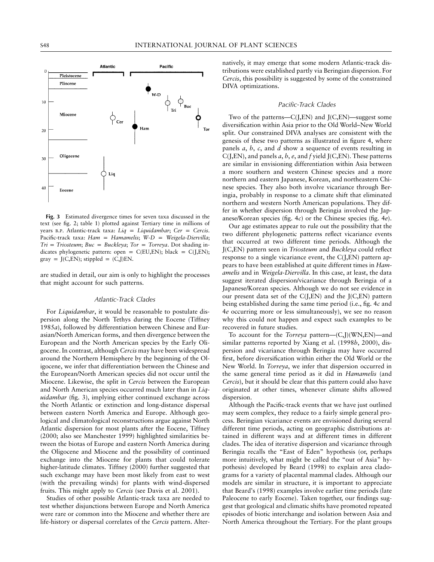

**Fig. 3** Estimated divergence times for seven taxa discussed in the text (see fig. 2; table 1) plotted against Tertiary time in millions of years B.P. Atlantic-track taxa: *Liq* = *Liquidambar*; *Cer* = *Cercis*. Pacific-track taxa: *Ham* = *Hamamelis*; *W-D* = *Weigela-Diervilla*;  $Tri = Triosteum; Buc = Buckleya; Tor = Torreya$ . Dot shading indicates phylogenetic pattern: open =  $C(EU, EN)$ ; black =  $C(J, EN)$ ; gray =  $J(C, EN)$ ; stippled =  $(C, J)EN$ .

are studied in detail, our aim is only to highlight the processes that might account for such patterns.

## *Atlantic-Track Clades*

For *Liquidambar*, it would be reasonable to postulate dispersion along the North Tethys during the Eocene (Tiffney 1985*a*), followed by differentiation between Chinese and Eurasian/North American forms, and then divergence between the European and the North American species by the Early Oligocene. In contrast, although *Cercis* may have been widespread around the Northern Hemisphere by the beginning of the Oligocene, we infer that differentiation between the Chinese and the European/North American species did not occur until the Miocene. Likewise, the split in *Cercis* between the European and North American species occurred much later than in *Liquidambar* (fig. 3), implying either continued exchange across the North Atlantic or extinction and long-distance dispersal between eastern North America and Europe. Although geological and climatological reconstructions argue against North Atlantic dispersion for most plants after the Eocene, Tiffney (2000; also see Manchester 1999) highlighted similarities between the biotas of Europe and eastern North America during the Oligocene and Miocene and the possibility of continued exchange into the Miocene for plants that could tolerate higher-latitude climates. Tiffney (2000) further suggested that such exchange may have been most likely from east to west (with the prevailing winds) for plants with wind-dispersed fruits. This might apply to *Cercis* (see Davis et al. 2001).

Studies of other possible Atlantic-track taxa are needed to test whether disjunctions between Europe and North America were rare or common into the Miocene and whether there are life-history or dispersal correlates of the *Cercis* pattern. Alternatively, it may emerge that some modern Atlantic-track distributions were established partly via Beringian dispersion. For *Cercis*, this possibility is suggested by some of the constrained DIVA optimizations.

#### *Pacific-Track Clades*

Two of the patterns—C(J,EN) and J(C,EN)—suggest some diversification within Asia prior to the Old World–New World split. Our constrained DIVA analyses are consistent with the genesis of these two patterns as illustrated in figure 4, where panels *a*, *b*, *c*, and *d* show a sequence of events resulting in C(J,EN), and panels *a*, *b*, *e*, and *f* yield J(C,EN). These patterns are similar in envisioning differentiation within Asia between a more southern and western Chinese species and a more northern and eastern Japanese, Korean, and northeastern Chinese species. They also both involve vicariance through Beringia, probably in response to a climate shift that eliminated northern and western North American populations. They differ in whether dispersion through Beringia involved the Japanese/Korean species (fig. 4*c*) or the Chinese species (fig. 4*e*).

Our age estimates appear to rule out the possibility that the two different phylogenetic patterns reflect vicariance events that occurred at two different time periods. Although the J(C,EN) pattern seen in *Triosteum* and *Buckleya* could reflect response to a single vicariance event, the C(J,EN) pattern appears to have been established at quite different times in *Hamamelis* and in *Weigela-Diervilla*. In this case, at least, the data suggest iterated dispersion/vicariance through Beringia of a Japanese/Korean species. Although we do not see evidence in our present data set of the C(J,EN) and the J(C,EN) pattern being established during the same time period (i.e., fig. 4*c* and 4*e* occurring more or less simultaneously), we see no reason why this could not happen and expect such examples to be recovered in future studies.

To account for the *Torreya* pattern—(C,J)(WN,EN)—and similar patterns reported by Xiang et al. (1998*b*, 2000), dispersion and vicariance through Beringia may have occurred first, before diversification within either the Old World or the New World. In *Torreya*, we infer that dispersion occurred in the same general time period as it did in *Hamamelis* (and *Cercis*), but it should be clear that this pattern could also have originated at other times, whenever climate shifts allowed dispersion.

Although the Pacific-track events that we have just outlined may seem complex, they reduce to a fairly simple general process. Beringian vicariance events are envisioned during several different time periods, acting on geographic distributions attained in different ways and at different times in different clades. The idea of iterative dispersion and vicariance through Beringia recalls the "East of Eden" hypothesis (or, perhaps more intuitively, what might be called the "out of Asia" hypothesis) developed by Beard (1998) to explain area cladograms for a variety of placental mammal clades. Although our models are similar in structure, it is important to appreciate that Beard's (1998) examples involve earlier time periods (late Paleocene to early Eocene). Taken together, our findings suggest that geological and climatic shifts have promoted repeated episodes of biotic interchange and isolation between Asia and North America throughout the Tertiary. For the plant groups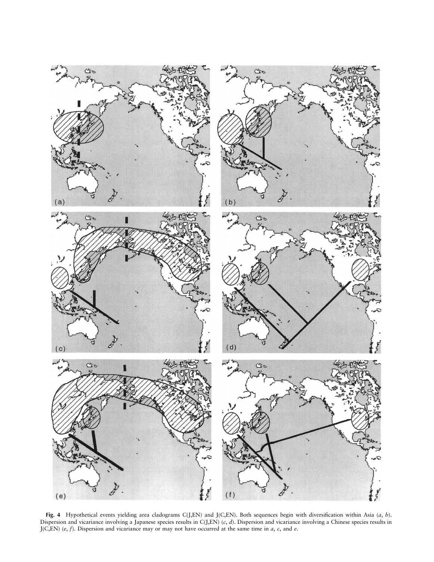

**Fig. 4** Hypothetical events yielding area cladograms C(J,EN) and J(C,EN). Both sequences begin with diversification within Asia (*a*, *b*). Dispersion and vicariance involving a Japanese species results in C(J,EN) (*c*, *d*). Dispersion and vicariance involving a Chinese species results in J(C,EN) (*e*, *f*). Dispersion and vicariance may or may not have occurred at the same time in *a*, *c*, and *e*.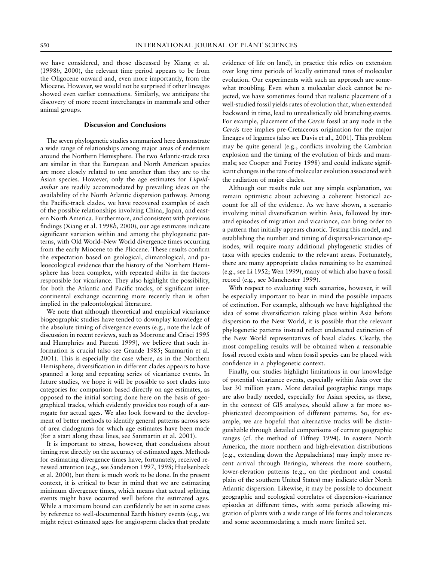we have considered, and those discussed by Xiang et al. (1998*b*, 2000), the relevant time period appears to be from the Oligocene onward and, even more importantly, from the Miocene. However, we would not be surprised if other lineages showed even earlier connections. Similarly, we anticipate the discovery of more recent interchanges in mammals and other animal groups.

# **Discussion and Conclusions**

The seven phylogenetic studies summarized here demonstrate a wide range of relationships among major areas of endemism around the Northern Hemisphere. The two Atlantic-track taxa are similar in that the European and North American species are more closely related to one another than they are to the Asian species. However, only the age estimates for *Liquidambar* are readily accommodated by prevailing ideas on the availability of the North Atlantic dispersion pathway. Among the Pacific-track clades, we have recovered examples of each of the possible relationships involving China, Japan, and eastern North America. Furthermore, and consistent with previous findings (Xiang et al. 1998*b*, 2000), our age estimates indicate significant variation within and among the phylogenetic patterns, with Old World–New World divergence times occurring from the early Miocene to the Pliocene. These results confirm the expectation based on geological, climatological, and paleoecological evidence that the history of the Northern Hemisphere has been complex, with repeated shifts in the factors responsible for vicariance. They also highlight the possibility, for both the Atlantic and Pacific tracks, of significant intercontinental exchange occurring more recently than is often implied in the paleontological literature.

We note that although theoretical and empirical vicariance biogeographic studies have tended to downplay knowledge of the absolute timing of divergence events (e.g., note the lack of discussion in recent reviews, such as Morrone and Crisci 1995 and Humphries and Parenti 1999), we believe that such information is crucial (also see Grande 1985; Sanmartin et al. 2001). This is especially the case where, as in the Northern Hemisphere, diversification in different clades appears to have spanned a long and repeating series of vicariance events. In future studies, we hope it will be possible to sort clades into categories for comparison based directly on age estimates, as opposed to the initial sorting done here on the basis of geographical tracks, which evidently provides too rough of a surrogate for actual ages. We also look forward to the development of better methods to identify general patterns across sets of area cladograms for which age estimates have been made (for a start along these lines, see Sanmartin et al. 2001).

It is important to stress, however, that conclusions about timing rest directly on the accuracy of estimated ages. Methods for estimating divergence times have, fortunately, received renewed attention (e.g., see Sanderson 1997, 1998; Huelsenbeck et al. 2000), but there is much work to be done. In the present context, it is critical to bear in mind that we are estimating minimum divergence times, which means that actual splitting events might have occurred well before the estimated ages. While a maximum bound can confidently be set in some cases by reference to well-documented Earth history events (e.g., we might reject estimated ages for angiosperm clades that predate evidence of life on land), in practice this relies on extension over long time periods of locally estimated rates of molecular evolution. Our experiments with such an approach are somewhat troubling. Even when a molecular clock cannot be rejected, we have sometimes found that realistic placement of a well-studied fossil yields rates of evolution that, when extended backward in time, lead to unrealistically old branching events. For example, placement of the *Cercis* fossil at any node in the *Cercis* tree implies pre-Cretaceous origination for the major lineages of legumes (also see Davis et al., 2001). This problem may be quite general (e.g., conflicts involving the Cambrian explosion and the timing of the evolution of birds and mammals; see Cooper and Fortey 1998) and could indicate significant changes in the rate of molecular evolution associated with the radiation of major clades.

Although our results rule out any simple explanation, we remain optimistic about achieving a coherent historical account for all of the evidence. As we have shown, a scenario involving initial diversification within Asia, followed by iterated episodes of migration and vicariance, can bring order to a pattern that initially appears chaotic. Testing this model, and establishing the number and timing of dispersal-vicariance episodes, will require many additional phylogenetic studies of taxa with species endemic to the relevant areas. Fortunately, there are many appropriate clades remaining to be examined (e.g., see Li 1952; Wen 1999), many of which also have a fossil record (e.g., see Manchester 1999).

With respect to evaluating such scenarios, however, it will be especially important to bear in mind the possible impacts of extinction. For example, although we have highlighted the idea of some diversification taking place within Asia before dispersion to the New World, it is possible that the relevant phylogenetic patterns instead reflect undetected extinction of the New World representatives of basal clades. Clearly, the most compelling results will be obtained when a reasonable fossil record exists and when fossil species can be placed with confidence in a phylogenetic context.

Finally, our studies highlight limitations in our knowledge of potential vicariance events, especially within Asia over the last 30 million years. More detailed geographic range maps are also badly needed, especially for Asian species, as these, in the context of GIS analyses, should allow a far more sophisticated decomposition of different patterns. So, for example, we are hopeful that alternative tracks will be distinguishable through detailed comparisons of current geographic ranges (cf. the method of Tiffney 1994). In eastern North America, the more northern and high-elevation distributions (e.g., extending down the Appalachians) may imply more recent arrival through Beringia, whereas the more southern, lower-elevation patterns (e.g., on the piedmont and coastal plain of the southern United States) may indicate older North Atlantic dispersion. Likewise, it may be possible to document geographic and ecological correlates of dispersion-vicariance episodes at different times, with some periods allowing migration of plants with a wide range of life forms and tolerances and some accommodating a much more limited set.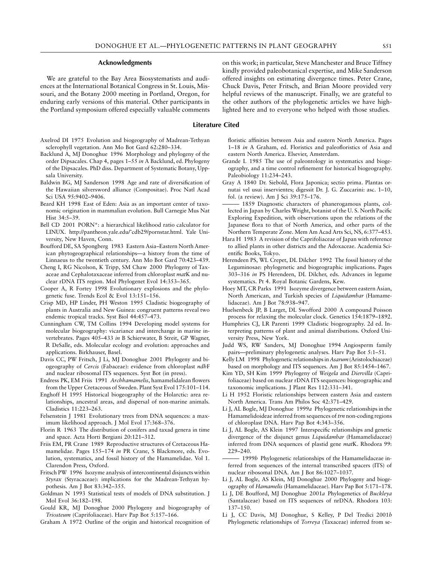#### **Acknowledgments**

We are grateful to the Bay Area Biosystematists and audiences at the International Botanical Congress in St. Louis, Missouri, and the Botany 2000 meeting in Portland, Oregon, for enduring early versions of this material. Other participants in the Portland symposium offered especially valuable comments

#### **Literature Cited**

- Axelrod DI 1975 Evolution and biogeography of Madrean-Tethyan sclerophyll vegetation. Ann Mo Bot Gard 62:280–334.
- Backlund A, MJ Donoghue 1996 Morphology and phylogeny of the order Dipsacales. Chap 4, pages 1–55 *in* A Backlund, ed. Phylogeny of the Dipsacales. PhD diss. Department of Systematic Botany, Uppsala University.
- Baldwin BG, MJ Sanderson 1998 Age and rate of diversification of the Hawaiian silversword alliance (Compositae). Proc Natl Acad Sci USA 95:9402–9406.
- Beard KH 1998 East of Eden: Asia as an important center of taxonomic origination in mammalian evolution. Bull Carnegie Mus Nat Hist 34:5–39.
- Bell CD 2001 PORN\*: a hierarchical likelihood ratio calculator for LINUX. http://pantheon.yale.edu/˜cdb29/pornstar.html. Yale University, New Haven, Conn.
- Boufford DE, SA Spongberg 1983 Eastern Asia–Eastern North American phytogeographical relationships—a history from the time of Linnaeus to the twentieth century. Ann Mo Bot Gard 70:423–439.
- Cheng I, RG Nicolson, K Tripp, SM Chaw 2000 Phylogeny of Taxaceae and Cephalotaxaceae inferred from chloroplast *mat*K and nuclear rDNA ITS region. Mol Phylogenet Evol 14:353–365.
- Cooper A, R Fortey 1998 Evolutionary explosions and the phylogenetic fuse. Trends Ecol & Evol 13:151–156.
- Crisp MD, HP Linder, PH Weston 1995 Cladistic biogeography of plants in Australia and New Guinea: congruent patterns reveal two endemic tropical tracks. Syst Biol 44:457–473.
- Cunningham CW, TM Collins 1994 Developing model systems for molecular biogeography: vicariance and interchange in marine invertebrates. Pages 405–433 *in* B Schierwater, B Streit, GP Wagner, R DeSalle, eds. Molecular ecology and evolution: approaches and applications. Birkhauser, Basel.
- Davis CC, PW Fritsch, J Li, MJ Donoghue 2001 Phylogeny and biogeography of *Cercis* (Fabaceae): evidence from chloroplast *ndh*F and nuclear ribosomal ITS sequences. Syst Bot (in press).
- Endress PK, EM Friis 1991 *Archhamamelis*, hamamelidalean flowers from the Upper Cretaceous of Sweden. Plant Syst Evol 175:101–114.
- Enghoff H 1995 Historical biogeography of the Holarctic: area relationships, ancestral areas, and dispersal of non-marine animals. Cladistics 11:223–263.
- Felsenstein J 1981 Evolutionary trees from DNA sequences: a maximum likelihood approach. J Mol Evol 17:368–376.
- Florin R 1963 The distribution of conifers and taxad genera in time and space. Acta Horti Bergiani 20:121–312.
- Friis EM, PR Crane 1989 Reproductive structures of Cretaceous Hamamelidae. Pages 155–174 *in* PR Crane, S Blackmore, eds. Evolution, systematics, and fossil history of the Hamamelidae. Vol 1. Clarendon Press, Oxford.
- Fritsch PW 1996 Isozyme analysis of intercontinental disjuncts within *Styrax* (Styracaceae): implications for the Madrean-Tethyan hypothesis. Am J Bot 83:342–355.
- Goldman N 1993 Statistical tests of models of DNA substitution. J Mol Evol 36:182–198.
- Gould KR, MJ Donoghue 2000 Phylogeny and biogeography of *Triosteum* (Caprifoliaceae). Harv Pap Bot 5:157–166.
- Graham A 1972 Outline of the origin and historical recognition of

kindly provided paleobotanical expertise, and Mike Sanderson offered insights on estimating divergence times. Peter Crane, Chuck Davis, Peter Fritsch, and Brian Moore provided very helpful reviews of the manuscript. Finally, we are grateful to the other authors of the phylogenetic articles we have highlighted here and to everyone who helped with those studies.

on this work; in particular, Steve Manchester and Bruce Tiffney

floristic affinities between Asia and eastern North America. Pages 1–18 *in* A Graham, ed. Floristics and paleofloristics of Asia and

- eastern North America. Elsevier, Amsterdam. Grande L 1985 The use of paleontology in systematics and biogeography, and a time control refinement for historical biogeography. Paleobiology 11:234–243.
- Gray A 1840 Dr. Siebold, Flora Japonica; sectio prima. Plantas ornutai vel usui inservientes; digessit Dr. J. G. Zuccarini: asc. 1–10, fol. (a review). Am J Sci 39:175–176.
- 1859 Diagnostic characters of phanerogamous plants, collected in Japan by Charles Wright, botanist of the U. S. North Pacific Exploring Expedition, with observations upon the relations of the Japanese flora to that of North America, and other parts of the Northern Temperate Zone. Mem Am Acad Arts Sci, NS, 6:377–453.
- Hara H 1983 A revision of the Caprifoliaceae of Japan with reference to allied plants in other districts and the Adoxaceae. Academia Scientific Books, Tokyo.
- Herendeen PS, WL Crepet, DL Dilcher 1992 The fossil history of the Leguminosae: phylogenetic and biogeographic implications. Pages 303–316 *in* PS Herendeen, DL Dilcher, eds. Advances in legume systematics. Pt 4. Royal Botanic Gardens, Kew.
- Hoey MT, CR Parks 1991 Isozyme divergence between eastern Asian, North American, and Turkish species of *Liquidambar* (Hamamelidaceae). Am J Bot 78:938–947.
- Huelsenbeck JP, B Larget, DL Swofford 2000 A compound Poisson process for relaxing the molecular clock. Genetics 154:1879–1892.
- Humphries CJ, LR Parenti 1999 Cladistic biogeography. 2d ed. Interpreting patterns of plant and animal distributions. Oxford University Press, New York.
- Judd WS, RW Sanders, MJ Donoghue 1994 Angiosperm family pairs—preliminary phylogenetic analyses. Harv Pap Bot 5:1–51.
- Kelly LM 1998 Phylogenetic relationships in*Asarum*(Aristolochiaceae) based on morphology and ITS sequences. Am J Bot 85:1454–1467.
- Kim YD, SH Kim 1999 Phylogeny of *Weigela* and *Diervilla* (Caprifoliaceae) based on nuclear rDNA ITS sequences: biogeographic and taxonomic implications. J Plant Res 112:331–341.
- Li H 1952 Floristic relationships between eastern Asia and eastern North America. Trans Am Philos Soc 42:371–429.
- Li J, AL Bogle, MJ Donoghue 1999*a* Phylogenetic relationships in the Hamamelidoideae inferred from sequences of *trn* non-coding regions of chloroplast DNA. Harv Pap Bot 4:343–356.
- Li J, AL Bogle, AS Klein 1997 Interspecific relationships and genetic divergence of the disjunct genus *Liquidambar* (Hamamelidaceae) inferred from DNA sequences of plastid gene *mat*K. Rhodora 99: 229–240.
- 1999*b* Phylogenetic relationships of the Hamamelidaceae inferred from sequences of the internal transcribed spacers (ITS) of nuclear ribosomal DNA. Am J Bot 86:1027–1037.
- Li J, AL Bogle, AS Klein, MJ Donoghue 2000 Phylogeny and biogeography of *Hamamelis* (Hamamelidaceae). Harv Pap Bot 5:171–178.
- Li J, DE Boufford, MJ Donoghue 2001*a* Phylogenetics of *Buckleya* (Santalaceae) based on ITS sequences of nrDNA. Rhodora 103: 137–150.
- Li J, CC Davis, MJ Donoghue, S Kelley, P Del Tredici 2001*b* Phylogenetic relationships of *Torreya* (Taxaceae) inferred from se-